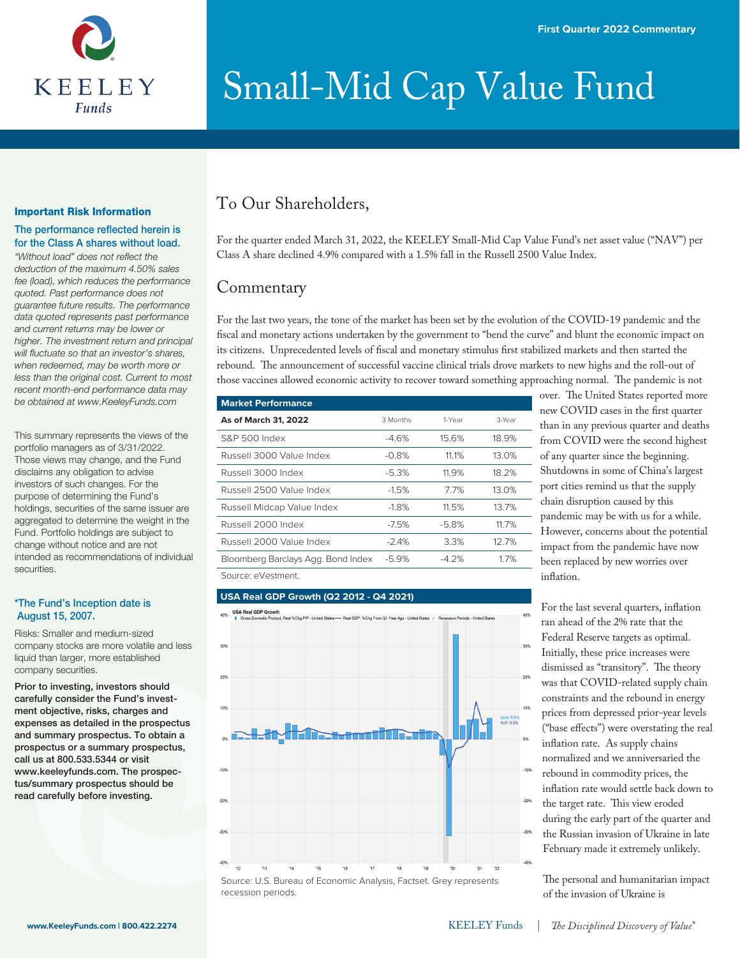

#### Important Risk Information

#### The performance reflected herein is for the Class A shares without load.

"Without load" does not reflect the *deduction of the maximum 4.50% sales fee (load), which reduces the performance quoted. Past performance does not guarantee future results. The performance data quoted represents past performance and current returns may be lower or higher. The investment return and principal will uctuate so that an investor's shares, when redeemed, may be worth more or less than the original cost. Current to most recent month-end performance data may be obtained at www.KeeleyFunds.com*

This summary represents the views of the portfolio managers as of 3/31/2022. Those views may change, and the Fund disclaims any obligation to advise investors of such changes. For the purpose of determining the Fund's holdings, securities of the same issuer are aggregated to determine the weight in the Fund. Portfolio holdings are subject to change without notice and are not intended as recommendations of individual securities.

#### \*The Fund's Inception date is August 15, 2007.

Risks: Smaller and medium-sized company stocks are more volatile and less liquid than larger, more established company securities.

Prior to investing, investors should carefully consider the Fund's investment objective, risks, charges and expenses as detailed in the prospectus and summary prospectus. To obtain a prospectus or a summary prospectus, call us at 800.533.5344 or visit www.keeleyfunds.com. The prospectus/summary prospectus should be read carefully before investing.

### To Our Shareholders,

For the quarter ended March 31, 2022, the KEELEY Small-Mid Cap Value Fund's net asset value ("NAV") per Class A share declined 4.9% compared with a 1.5% fall in the Russell 2500 Value Index.

### **Commentary**

For the last two years, the tone of the market has been set by the evolution of the COVID-19 pandemic and the fiscal and monetary actions undertaken by the government to "bend the curve" and blunt the economic impact on its citizens. Unprecedented levels of fiscal and monetary stimulus first stabilized markets and then started the rebound. The announcement of successful vaccine clinical trials drove markets to new highs and the roll-out of those vaccines allowed economic activity to recover toward something approaching normal. The pandemic is not

| <b>Market Performance</b>          |          |         |        |  |  |  |
|------------------------------------|----------|---------|--------|--|--|--|
| As of March 31, 2022               | 3 Months | 1-Year  | 3-Year |  |  |  |
| S&P 500 Index                      | $-4.6%$  | 15.6%   | 18.9%  |  |  |  |
| Russell 3000 Value Index           | $-0.8%$  | 11.1%   | 13.0%  |  |  |  |
| Russell 3000 Index                 | $-5.3%$  | 11.9%   | 18.2%  |  |  |  |
| Russell 2500 Value Index           | $-1.5%$  | 7.7%    | 13.0%  |  |  |  |
| Russell Midcap Value Index         | $-1.8%$  | 11.5%   | 13.7%  |  |  |  |
| Russell 2000 Index                 | $-7.5%$  | $-5.8%$ | 11.7%  |  |  |  |
| Russell 2000 Value Index           | $-2.4%$  | 3.3%    | 12.7%  |  |  |  |
| Bloomberg Barclays Agg. Bond Index | $-5.9%$  | $-4.2%$ | 1.7%   |  |  |  |
| Source: eVestment.                 |          |         |        |  |  |  |

#### **USA Real GDP Growth (Q2 2012 - Q4 2021)**

recession periods.



over. The United States reported more new COVID cases in the first quarter than in any previous quarter and deaths from COVID were the second highest of any quarter since the beginning. Shutdowns in some of China's largest port cities remind us that the supply chain disruption caused by this pandemic may be with us for a while. However, concerns about the potential impact from the pandemic have now been replaced by new worries over inflation.

For the last several quarters, inflation ran ahead of the 2% rate that the Federal Reserve targets as optimal. Initially, these price increases were dismissed as "transitory". The theory was that COVID-related supply chain constraints and the rebound in energy prices from depressed prior-year levels ("base effects") were overstating the real inflation rate. As supply chains normalized and we anniversaried the rebound in commodity prices, the inflation rate would settle back down to the target rate. This view eroded during the early part of the quarter and the Russian invasion of Ukraine in late February made it extremely unlikely.

The personal and humanitarian impact of the invasion of Ukraine is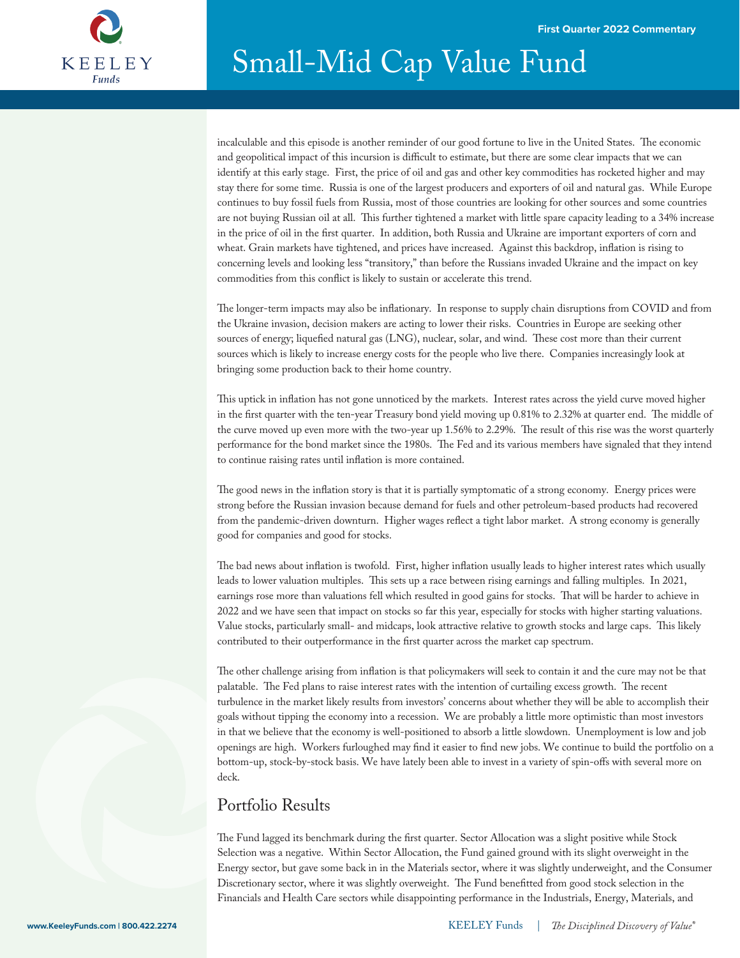

incalculable and this episode is another reminder of our good fortune to live in the United States. The economic and geopolitical impact of this incursion is difficult to estimate, but there are some clear impacts that we can identify at this early stage. First, the price of oil and gas and other key commodities has rocketed higher and may stay there for some time. Russia is one of the largest producers and exporters of oil and natural gas. While Europe continues to buy fossil fuels from Russia, most of those countries are looking for other sources and some countries are not buying Russian oil at all. This further tightened a market with little spare capacity leading to a 34% increase in the price of oil in the first quarter. In addition, both Russia and Ukraine are important exporters of corn and wheat. Grain markets have tightened, and prices have increased. Against this backdrop, inflation is rising to concerning levels and looking less "transitory," than before the Russians invaded Ukraine and the impact on key commodities from this conflict is likely to sustain or accelerate this trend.

The longer-term impacts may also be inflationary. In response to supply chain disruptions from COVID and from the Ukraine invasion, decision makers are acting to lower their risks. Countries in Europe are seeking other sources of energy; liquefied natural gas (LNG), nuclear, solar, and wind. These cost more than their current sources which is likely to increase energy costs for the people who live there. Companies increasingly look at bringing some production back to their home country.

This uptick in inflation has not gone unnoticed by the markets. Interest rates across the yield curve moved higher in the first quarter with the ten-year Treasury bond yield moving up 0.81% to 2.32% at quarter end. The middle of the curve moved up even more with the two-year up  $1.56\%$  to  $2.29\%$ . The result of this rise was the worst quarterly performance for the bond market since the 1980s. The Fed and its various members have signaled that they intend to continue raising rates until inflation is more contained.

The good news in the inflation story is that it is partially symptomatic of a strong economy. Energy prices were strong before the Russian invasion because demand for fuels and other petroleum-based products had recovered from the pandemic-driven downturn. Higher wages reflect a tight labor market. A strong economy is generally good for companies and good for stocks.

The bad news about inflation is twofold. First, higher inflation usually leads to higher interest rates which usually leads to lower valuation multiples. This sets up a race between rising earnings and falling multiples. In 2021, earnings rose more than valuations fell which resulted in good gains for stocks. That will be harder to achieve in 2022 and we have seen that impact on stocks so far this year, especially for stocks with higher starting valuations. Value stocks, particularly small- and midcaps, look attractive relative to growth stocks and large caps. This likely contributed to their outperformance in the first quarter across the market cap spectrum.

The other challenge arising from inflation is that policymakers will seek to contain it and the cure may not be that palatable. The Fed plans to raise interest rates with the intention of curtailing excess growth. The recent turbulence in the market likely results from investors' concerns about whether they will be able to accomplish their goals without tipping the economy into a recession. We are probably a little more optimistic than most investors in that we believe that the economy is well-positioned to absorb a little slowdown. Unemployment is low and job openings are high. Workers furloughed may find it easier to find new jobs. We continue to build the portfolio on a bottom-up, stock-by-stock basis. We have lately been able to invest in a variety of spin-offs with several more on deck.

### Portfolio Results

The Fund lagged its benchmark during the first quarter. Sector Allocation was a slight positive while Stock Selection was a negative. Within Sector Allocation, the Fund gained ground with its slight overweight in the Energy sector, but gave some back in in the Materials sector, where it was slightly underweight, and the Consumer Discretionary sector, where it was slightly overweight. The Fund benefitted from good stock selection in the Financials and Health Care sectors while disappointing performance in the Industrials, Energy, Materials, and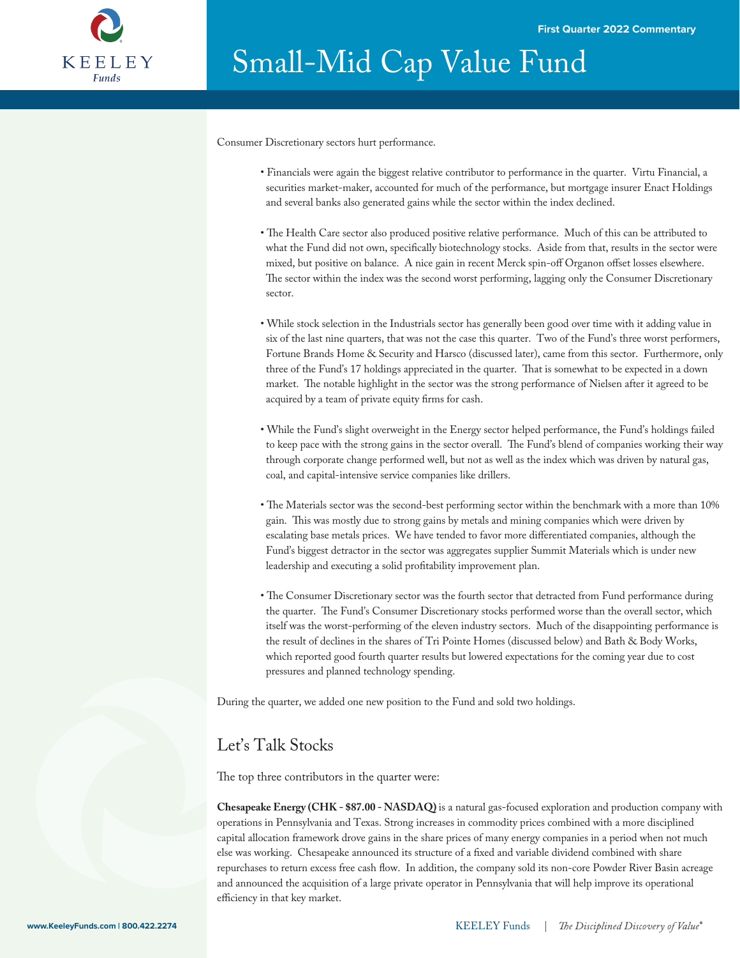

Consumer Discretionary sectors hurt performance.

- Financials were again the biggest relative contributor to performance in the quarter. Virtu Financial, a securities market-maker, accounted for much of the performance, but mortgage insurer Enact Holdings and several banks also generated gains while the sector within the index declined.
- The Health Care sector also produced positive relative performance. Much of this can be attributed to what the Fund did not own, specifically biotechnology stocks. Aside from that, results in the sector were mixed, but positive on balance. A nice gain in recent Merck spin-off Organon offset losses elsewhere. The sector within the index was the second worst performing, lagging only the Consumer Discretionary sector.
- While stock selection in the Industrials sector has generally been good over time with it adding value in six of the last nine quarters, that was not the case this quarter. Two of the Fund's three worst performers, Fortune Brands Home & Security and Harsco (discussed later), came from this sector. Furthermore, only three of the Fund's 17 holdings appreciated in the quarter. That is somewhat to be expected in a down market. The notable highlight in the sector was the strong performance of Nielsen after it agreed to be acquired by a team of private equity firms for cash.
- While the Fund's slight overweight in the Energy sector helped performance, the Fund's holdings failed to keep pace with the strong gains in the sector overall. The Fund's blend of companies working their way through corporate change performed well, but not as well as the index which was driven by natural gas, coal, and capital-intensive service companies like drillers.
- The Materials sector was the second-best performing sector within the benchmark with a more than 10% gain. This was mostly due to strong gains by metals and mining companies which were driven by escalating base metals prices. We have tended to favor more differentiated companies, although the Fund's biggest detractor in the sector was aggregates supplier Summit Materials which is under new leadership and executing a solid profitability improvement plan.
- The Consumer Discretionary sector was the fourth sector that detracted from Fund performance during the quarter. The Fund's Consumer Discretionary stocks performed worse than the overall sector, which itself was the worst-performing of the eleven industry sectors. Much of the disappointing performance is the result of declines in the shares of Tri Pointe Homes (discussed below) and Bath & Body Works, which reported good fourth quarter results but lowered expectations for the coming year due to cost pressures and planned technology spending.

During the quarter, we added one new position to the Fund and sold two holdings.

### Let's Talk Stocks

The top three contributors in the quarter were:

**Chesapeake Energy (CHK - \$87.00 - NASDAQ)** is a natural gas-focused exploration and production company with operations in Pennsylvania and Texas. Strong increases in commodity prices combined with a more disciplined capital allocation framework drove gains in the share prices of many energy companies in a period when not much else was working. Chesapeake announced its structure of a fixed and variable dividend combined with share repurchases to return excess free cash flow. In addition, the company sold its non-core Powder River Basin acreage and announced the acquisition of a large private operator in Pennsylvania that will help improve its operational efficiency in that key market.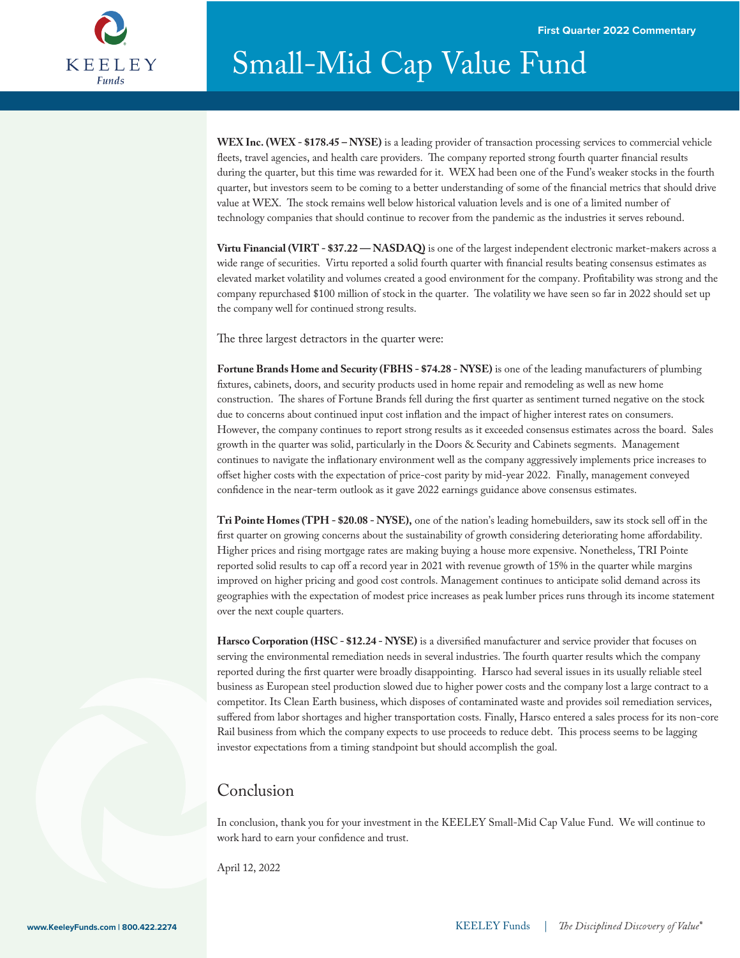

**WEX Inc. (WEX - \$178.45 – NYSE)** is a leading provider of transaction processing services to commercial vehicle fleets, travel agencies, and health care providers. The company reported strong fourth quarter financial results during the quarter, but this time was rewarded for it. WEX had been one of the Fund's weaker stocks in the fourth quarter, but investors seem to be coming to a better understanding of some of the nancial metrics that should drive value at WEX. The stock remains well below historical valuation levels and is one of a limited number of technology companies that should continue to recover from the pandemic as the industries it serves rebound.

**Virtu Financial (VIRT - \$37.22 — NASDAQ)** is one of the largest independent electronic market-makers across a wide range of securities. Virtu reported a solid fourth quarter with financial results beating consensus estimates as elevated market volatility and volumes created a good environment for the company. Protability was strong and the company repurchased \$100 million of stock in the quarter. The volatility we have seen so far in 2022 should set up the company well for continued strong results.

The three largest detractors in the quarter were:

**Fortune Brands Home and Security (FBHS - \$74.28 - NYSE)** is one of the leading manufacturers of plumbing xtures, cabinets, doors, and security products used in home repair and remodeling as well as new home construction. The shares of Fortune Brands fell during the first quarter as sentiment turned negative on the stock due to concerns about continued input cost inflation and the impact of higher interest rates on consumers. However, the company continues to report strong results as it exceeded consensus estimates across the board. Sales growth in the quarter was solid, particularly in the Doors & Security and Cabinets segments. Management continues to navigate the inflationary environment well as the company aggressively implements price increases to offset higher costs with the expectation of price-cost parity by mid-year 2022. Finally, management conveyed confidence in the near-term outlook as it gave 2022 earnings guidance above consensus estimates.

Tri Pointe Homes (TPH - \$20.08 - NYSE), one of the nation's leading homebuilders, saw its stock sell off in the first quarter on growing concerns about the sustainability of growth considering deteriorating home affordability. Higher prices and rising mortgage rates are making buying a house more expensive. Nonetheless, TRI Pointe reported solid results to cap off a record year in 2021 with revenue growth of 15% in the quarter while margins improved on higher pricing and good cost controls. Management continues to anticipate solid demand across its geographies with the expectation of modest price increases as peak lumber prices runs through its income statement over the next couple quarters.

Harsco Corporation (HSC - \$12.24 - NYSE) is a diversified manufacturer and service provider that focuses on serving the environmental remediation needs in several industries. The fourth quarter results which the company reported during the first quarter were broadly disappointing. Harsco had several issues in its usually reliable steel business as European steel production slowed due to higher power costs and the company lost a large contract to a competitor. Its Clean Earth business, which disposes of contaminated waste and provides soil remediation services, suffered from labor shortages and higher transportation costs. Finally, Harsco entered a sales process for its non-core Rail business from which the company expects to use proceeds to reduce debt. This process seems to be lagging investor expectations from a timing standpoint but should accomplish the goal.

### Conclusion

In conclusion, thank you for your investment in the KEELEY Small-Mid Cap Value Fund. We will continue to work hard to earn your confidence and trust.

April 12, 2022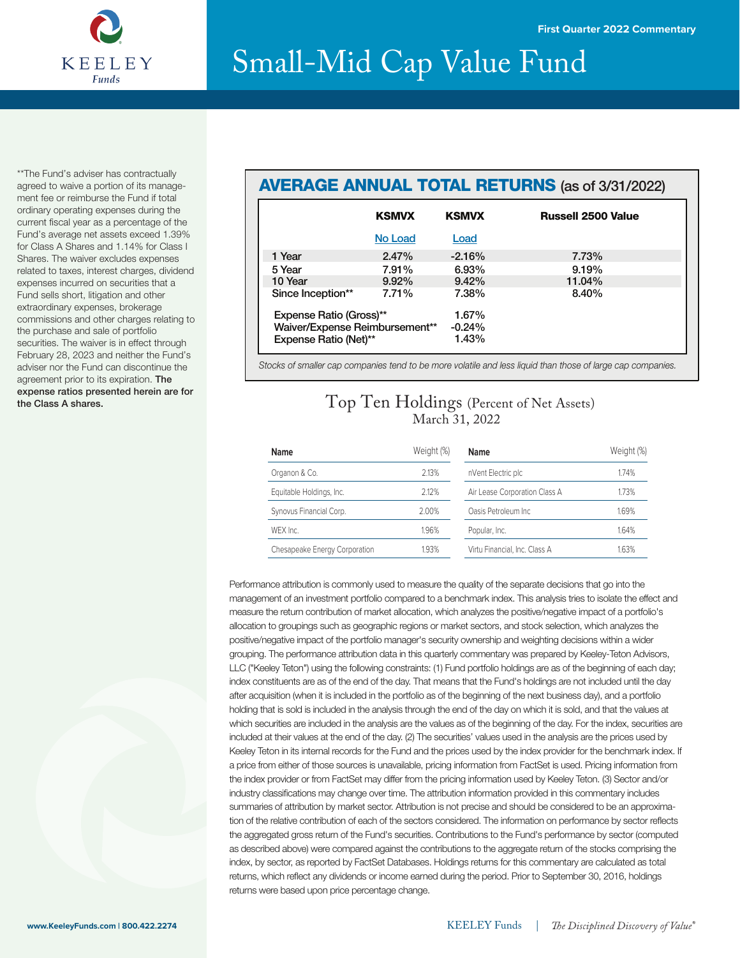

\*\*The Fund's adviser has contractually agreed to waive a portion of its management fee or reimburse the Fund if total ordinary operating expenses during the current fiscal year as a percentage of the Fund's average net assets exceed 1.39% for Class A Shares and 1.14% for Class I Shares. The waiver excludes expenses related to taxes, interest charges, dividend expenses incurred on securities that a Fund sells short, litigation and other extraordinary expenses, brokerage commissions and other charges relating to the purchase and sale of portfolio securities. The waiver is in effect through February 28, 2023 and neither the Fund's adviser nor the Fund can discontinue the agreement prior to its expiration. The expense ratios presented herein are for the Class A shares.

### AVERAGE ANNUAL TOTAL RETURNS (as of 3/31/2022)

|                                | <b>KSMVX</b> | <b>KSMVX</b> | <b>Russell 2500 Value</b> |
|--------------------------------|--------------|--------------|---------------------------|
|                                | No Load      | Load         |                           |
| 1 Year                         | 2.47%        | $-2.16%$     | 7.73%                     |
| 5 Year                         | 7.91%        | 6.93%        | 9.19%                     |
| 10 Year                        | $9.92\%$     | 9.42%        | 11.04%                    |
| Since Inception**              | 7.71%        | 7.38%        | 8.40%                     |
| Expense Ratio (Gross)**        |              | 1.67%        |                           |
| Waiver/Expense Reimbursement** |              | $-0.24%$     |                           |
| <b>Expense Ratio (Net)**</b>   |              | 1.43%        |                           |

*Stocks of smaller cap companies tend to be more volatile and less liquid than those of large cap companies.*

### Top Ten Holdings (Percent of Net Assets) March 31, 2022

| Name                          | Weight (%) | <b>Name</b>                   | Weight (%) |
|-------------------------------|------------|-------------------------------|------------|
| Organon & Co.                 | 2.13%      | nVent Electric plc            | 1.74%      |
| Equitable Holdings, Inc.      | 2.12%      | Air Lease Corporation Class A | 1.73%      |
| Synovus Financial Corp.       | 2.00%      | Oasis Petroleum Inc.          | 1.69%      |
| WEX Inc.                      | 1.96%      | Popular, Inc.                 | 1.64%      |
| Chesapeake Energy Corporation | 1.93%      | Virtu Financial, Inc. Class A | 1.63%      |

Performance attribution is commonly used to measure the quality of the separate decisions that go into the management of an investment portfolio compared to a benchmark index. This analysis tries to isolate the effect and measure the return contribution of market allocation, which analyzes the positive/negative impact of a portfolio's allocation to groupings such as geographic regions or market sectors, and stock selection, which analyzes the positive/negative impact of the portfolio manager's security ownership and weighting decisions within a wider grouping. The performance attribution data in this quarterly commentary was prepared by Keeley-Teton Advisors, LLC ("Keeley Teton") using the following constraints: (1) Fund portfolio holdings are as of the beginning of each day; index constituents are as of the end of the day. That means that the Fund's holdings are not included until the day after acquisition (when it is included in the portfolio as of the beginning of the next business day), and a portfolio holding that is sold is included in the analysis through the end of the day on which it is sold, and that the values at which securities are included in the analysis are the values as of the beginning of the day. For the index, securities are included at their values at the end of the day. (2) The securities' values used in the analysis are the prices used by Keeley Teton in its internal records for the Fund and the prices used by the index provider for the benchmark index. If a price from either of those sources is unavailable, pricing information from FactSet is used. Pricing information from the index provider or from FactSet may differ from the pricing information used by Keeley Teton. (3) Sector and/or industry classifications may change over time. The attribution information provided in this commentary includes summaries of attribution by market sector. Attribution is not precise and should be considered to be an approximation of the relative contribution of each of the sectors considered. The information on performance by sector reflects the aggregated gross return of the Fund's securities. Contributions to the Fund's performance by sector (computed as described above) were compared against the contributions to the aggregate return of the stocks comprising the index, by sector, as reported by FactSet Databases. Holdings returns for this commentary are calculated as total returns, which reflect any dividends or income earned during the period. Prior to September 30, 2016, holdings returns were based upon price percentage change.